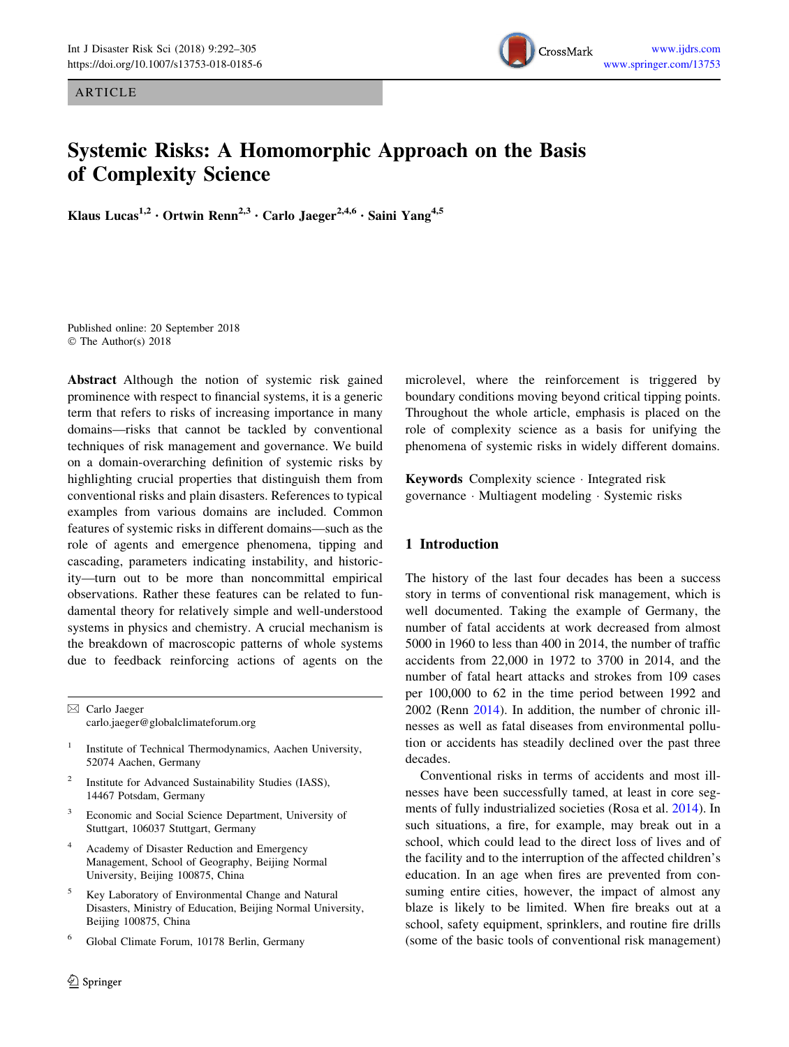ARTICLE



# Systemic Risks: A Homomorphic Approach on the Basis of Complexity Science

Klaus Lucas<sup>1,2</sup> · Ortwin Renn<sup>2,3</sup> · Carlo Jaeger<sup>2,4,6</sup> · Saini Yang<sup>4,5</sup>

Published online: 20 September 2018 © The Author(s) 2018

Abstract Although the notion of systemic risk gained prominence with respect to financial systems, it is a generic term that refers to risks of increasing importance in many domains—risks that cannot be tackled by conventional techniques of risk management and governance. We build on a domain-overarching definition of systemic risks by highlighting crucial properties that distinguish them from conventional risks and plain disasters. References to typical examples from various domains are included. Common features of systemic risks in different domains—such as the role of agents and emergence phenomena, tipping and cascading, parameters indicating instability, and historicity—turn out to be more than noncommittal empirical observations. Rather these features can be related to fundamental theory for relatively simple and well-understood systems in physics and chemistry. A crucial mechanism is the breakdown of macroscopic patterns of whole systems due to feedback reinforcing actions of agents on the

 $\boxtimes$  Carlo Jaeger carlo.jaeger@globalclimateforum.org

- <sup>1</sup> Institute of Technical Thermodynamics, Aachen University, 52074 Aachen, Germany
- <sup>2</sup> Institute for Advanced Sustainability Studies (IASS), 14467 Potsdam, Germany
- <sup>3</sup> Economic and Social Science Department, University of Stuttgart, 106037 Stuttgart, Germany
- <sup>4</sup> Academy of Disaster Reduction and Emergency Management, School of Geography, Beijing Normal University, Beijing 100875, China
- <sup>5</sup> Key Laboratory of Environmental Change and Natural Disasters, Ministry of Education, Beijing Normal University, Beijing 100875, China
- <sup>6</sup> Global Climate Forum, 10178 Berlin, Germany

microlevel, where the reinforcement is triggered by boundary conditions moving beyond critical tipping points. Throughout the whole article, emphasis is placed on the role of complexity science as a basis for unifying the phenomena of systemic risks in widely different domains.

Keywords Complexity science - Integrated risk governance - Multiagent modeling - Systemic risks

## 1 Introduction

The history of the last four decades has been a success story in terms of conventional risk management, which is well documented. Taking the example of Germany, the number of fatal accidents at work decreased from almost 5000 in 1960 to less than 400 in 2014, the number of traffic accidents from 22,000 in 1972 to 3700 in 2014, and the number of fatal heart attacks and strokes from 109 cases per 100,000 to 62 in the time period between 1992 and 2002 (Renn [2014](#page-12-0)). In addition, the number of chronic illnesses as well as fatal diseases from environmental pollution or accidents has steadily declined over the past three decades.

Conventional risks in terms of accidents and most illnesses have been successfully tamed, at least in core segments of fully industrialized societies (Rosa et al. [2014\)](#page-12-0). In such situations, a fire, for example, may break out in a school, which could lead to the direct loss of lives and of the facility and to the interruption of the affected children's education. In an age when fires are prevented from consuming entire cities, however, the impact of almost any blaze is likely to be limited. When fire breaks out at a school, safety equipment, sprinklers, and routine fire drills (some of the basic tools of conventional risk management)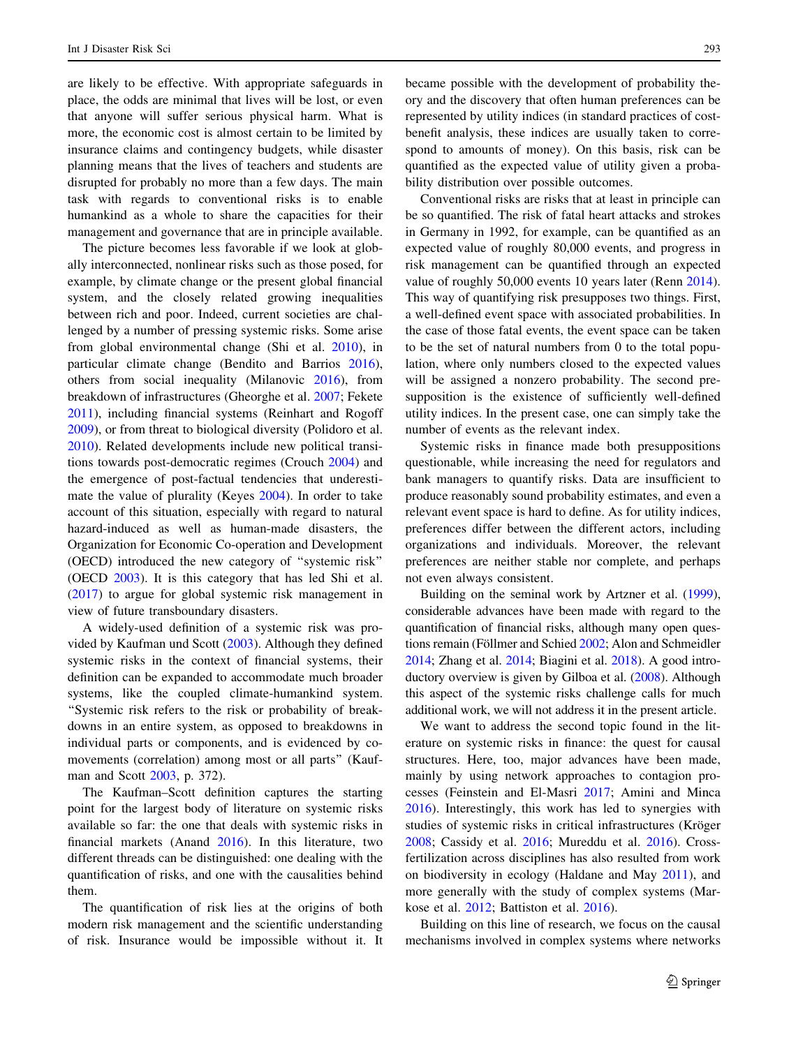are likely to be effective. With appropriate safeguards in place, the odds are minimal that lives will be lost, or even that anyone will suffer serious physical harm. What is more, the economic cost is almost certain to be limited by insurance claims and contingency budgets, while disaster planning means that the lives of teachers and students are disrupted for probably no more than a few days. The main task with regards to conventional risks is to enable humankind as a whole to share the capacities for their management and governance that are in principle available.

The picture becomes less favorable if we look at globally interconnected, nonlinear risks such as those posed, for example, by climate change or the present global financial system, and the closely related growing inequalities between rich and poor. Indeed, current societies are challenged by a number of pressing systemic risks. Some arise from global environmental change (Shi et al. [2010](#page-13-0)), in particular climate change (Bendito and Barrios [2016](#page-11-0)), others from social inequality (Milanovic [2016](#page-12-0)), from breakdown of infrastructures (Gheorghe et al. [2007;](#page-11-0) Fekete [2011\)](#page-11-0), including financial systems (Reinhart and Rogoff [2009\)](#page-12-0), or from threat to biological diversity (Polidoro et al. [2010\)](#page-12-0). Related developments include new political transitions towards post-democratic regimes (Crouch [2004\)](#page-11-0) and the emergence of post-factual tendencies that underestimate the value of plurality (Keyes [2004\)](#page-12-0). In order to take account of this situation, especially with regard to natural hazard-induced as well as human-made disasters, the Organization for Economic Co-operation and Development (OECD) introduced the new category of ''systemic risk'' (OECD [2003\)](#page-12-0). It is this category that has led Shi et al. [\(2017](#page-13-0)) to argue for global systemic risk management in view of future transboundary disasters.

A widely-used definition of a systemic risk was provided by Kaufman und Scott ([2003\)](#page-12-0). Although they defined systemic risks in the context of financial systems, their definition can be expanded to accommodate much broader systems, like the coupled climate-humankind system. ''Systemic risk refers to the risk or probability of breakdowns in an entire system, as opposed to breakdowns in individual parts or components, and is evidenced by comovements (correlation) among most or all parts'' (Kaufman and Scott [2003](#page-12-0), p. 372).

The Kaufman–Scott definition captures the starting point for the largest body of literature on systemic risks available so far: the one that deals with systemic risks in financial markets (Anand [2016](#page-11-0)). In this literature, two different threads can be distinguished: one dealing with the quantification of risks, and one with the causalities behind them.

The quantification of risk lies at the origins of both modern risk management and the scientific understanding of risk. Insurance would be impossible without it. It became possible with the development of probability theory and the discovery that often human preferences can be represented by utility indices (in standard practices of costbenefit analysis, these indices are usually taken to correspond to amounts of money). On this basis, risk can be quantified as the expected value of utility given a probability distribution over possible outcomes.

Conventional risks are risks that at least in principle can be so quantified. The risk of fatal heart attacks and strokes in Germany in 1992, for example, can be quantified as an expected value of roughly 80,000 events, and progress in risk management can be quantified through an expected value of roughly 50,000 events 10 years later (Renn [2014](#page-12-0)). This way of quantifying risk presupposes two things. First, a well-defined event space with associated probabilities. In the case of those fatal events, the event space can be taken to be the set of natural numbers from 0 to the total population, where only numbers closed to the expected values will be assigned a nonzero probability. The second presupposition is the existence of sufficiently well-defined utility indices. In the present case, one can simply take the number of events as the relevant index.

Systemic risks in finance made both presuppositions questionable, while increasing the need for regulators and bank managers to quantify risks. Data are insufficient to produce reasonably sound probability estimates, and even a relevant event space is hard to define. As for utility indices, preferences differ between the different actors, including organizations and individuals. Moreover, the relevant preferences are neither stable nor complete, and perhaps not even always consistent.

Building on the seminal work by Artzner et al. [\(1999\)](#page-11-0), considerable advances have been made with regard to the quantification of financial risks, although many open ques-tions remain (Föllmer and Schied [2002](#page-11-0); Alon and Schmeidler [2014;](#page-11-0) Zhang et al. [2014;](#page-13-0) Biagini et al. [2018](#page-11-0)). A good introductory overview is given by Gilboa et al. [\(2008\)](#page-12-0). Although this aspect of the systemic risks challenge calls for much additional work, we will not address it in the present article.

We want to address the second topic found in the literature on systemic risks in finance: the quest for causal structures. Here, too, major advances have been made, mainly by using network approaches to contagion processes (Feinstein and El-Masri [2017;](#page-11-0) Amini and Minca [2016](#page-11-0)). Interestingly, this work has led to synergies with studies of systemic risks in critical infrastructures (Kröger [2008](#page-12-0); Cassidy et al. [2016;](#page-11-0) Mureddu et al. [2016](#page-12-0)). Crossfertilization across disciplines has also resulted from work on biodiversity in ecology (Haldane and May [2011](#page-12-0)), and more generally with the study of complex systems (Markose et al. [2012](#page-12-0); Battiston et al. [2016\)](#page-11-0).

Building on this line of research, we focus on the causal mechanisms involved in complex systems where networks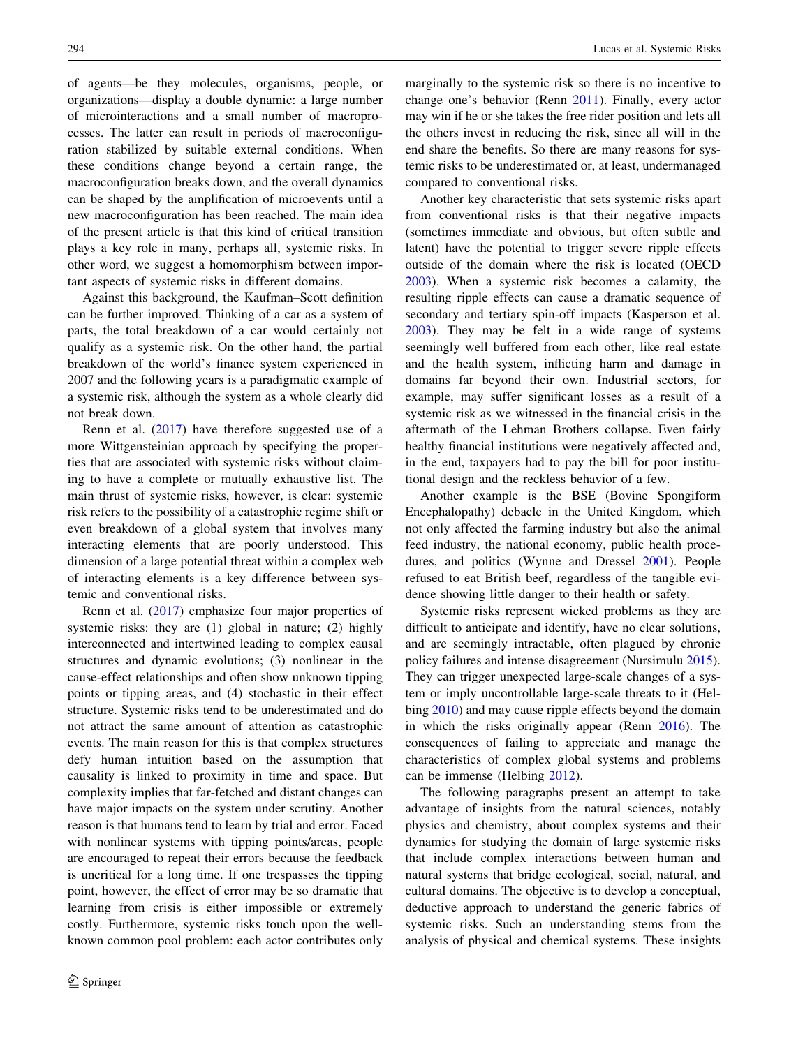of agents—be they molecules, organisms, people, or organizations—display a double dynamic: a large number of microinteractions and a small number of macroprocesses. The latter can result in periods of macroconfiguration stabilized by suitable external conditions. When these conditions change beyond a certain range, the macroconfiguration breaks down, and the overall dynamics can be shaped by the amplification of microevents until a new macroconfiguration has been reached. The main idea of the present article is that this kind of critical transition plays a key role in many, perhaps all, systemic risks. In other word, we suggest a homomorphism between important aspects of systemic risks in different domains.

Against this background, the Kaufman–Scott definition can be further improved. Thinking of a car as a system of parts, the total breakdown of a car would certainly not qualify as a systemic risk. On the other hand, the partial breakdown of the world's finance system experienced in 2007 and the following years is a paradigmatic example of a systemic risk, although the system as a whole clearly did not break down.

Renn et al. ([2017\)](#page-12-0) have therefore suggested use of a more Wittgensteinian approach by specifying the properties that are associated with systemic risks without claiming to have a complete or mutually exhaustive list. The main thrust of systemic risks, however, is clear: systemic risk refers to the possibility of a catastrophic regime shift or even breakdown of a global system that involves many interacting elements that are poorly understood. This dimension of a large potential threat within a complex web of interacting elements is a key difference between systemic and conventional risks.

Renn et al. ([2017\)](#page-12-0) emphasize four major properties of systemic risks: they are (1) global in nature; (2) highly interconnected and intertwined leading to complex causal structures and dynamic evolutions; (3) nonlinear in the cause-effect relationships and often show unknown tipping points or tipping areas, and (4) stochastic in their effect structure. Systemic risks tend to be underestimated and do not attract the same amount of attention as catastrophic events. The main reason for this is that complex structures defy human intuition based on the assumption that causality is linked to proximity in time and space. But complexity implies that far-fetched and distant changes can have major impacts on the system under scrutiny. Another reason is that humans tend to learn by trial and error. Faced with nonlinear systems with tipping points/areas, people are encouraged to repeat their errors because the feedback is uncritical for a long time. If one trespasses the tipping point, however, the effect of error may be so dramatic that learning from crisis is either impossible or extremely costly. Furthermore, systemic risks touch upon the wellknown common pool problem: each actor contributes only marginally to the systemic risk so there is no incentive to change one's behavior (Renn [2011\)](#page-12-0). Finally, every actor may win if he or she takes the free rider position and lets all the others invest in reducing the risk, since all will in the end share the benefits. So there are many reasons for systemic risks to be underestimated or, at least, undermanaged compared to conventional risks.

Another key characteristic that sets systemic risks apart from conventional risks is that their negative impacts (sometimes immediate and obvious, but often subtle and latent) have the potential to trigger severe ripple effects outside of the domain where the risk is located (OECD [2003](#page-12-0)). When a systemic risk becomes a calamity, the resulting ripple effects can cause a dramatic sequence of secondary and tertiary spin-off impacts (Kasperson et al. [2003](#page-12-0)). They may be felt in a wide range of systems seemingly well buffered from each other, like real estate and the health system, inflicting harm and damage in domains far beyond their own. Industrial sectors, for example, may suffer significant losses as a result of a systemic risk as we witnessed in the financial crisis in the aftermath of the Lehman Brothers collapse. Even fairly healthy financial institutions were negatively affected and, in the end, taxpayers had to pay the bill for poor institutional design and the reckless behavior of a few.

Another example is the BSE (Bovine Spongiform Encephalopathy) debacle in the United Kingdom, which not only affected the farming industry but also the animal feed industry, the national economy, public health procedures, and politics (Wynne and Dressel [2001](#page-13-0)). People refused to eat British beef, regardless of the tangible evidence showing little danger to their health or safety.

Systemic risks represent wicked problems as they are difficult to anticipate and identify, have no clear solutions, and are seemingly intractable, often plagued by chronic policy failures and intense disagreement (Nursimulu [2015](#page-12-0)). They can trigger unexpected large-scale changes of a system or imply uncontrollable large-scale threats to it (Helbing [2010](#page-12-0)) and may cause ripple effects beyond the domain in which the risks originally appear (Renn [2016](#page-12-0)). The consequences of failing to appreciate and manage the characteristics of complex global systems and problems can be immense (Helbing [2012\)](#page-12-0).

The following paragraphs present an attempt to take advantage of insights from the natural sciences, notably physics and chemistry, about complex systems and their dynamics for studying the domain of large systemic risks that include complex interactions between human and natural systems that bridge ecological, social, natural, and cultural domains. The objective is to develop a conceptual, deductive approach to understand the generic fabrics of systemic risks. Such an understanding stems from the analysis of physical and chemical systems. These insights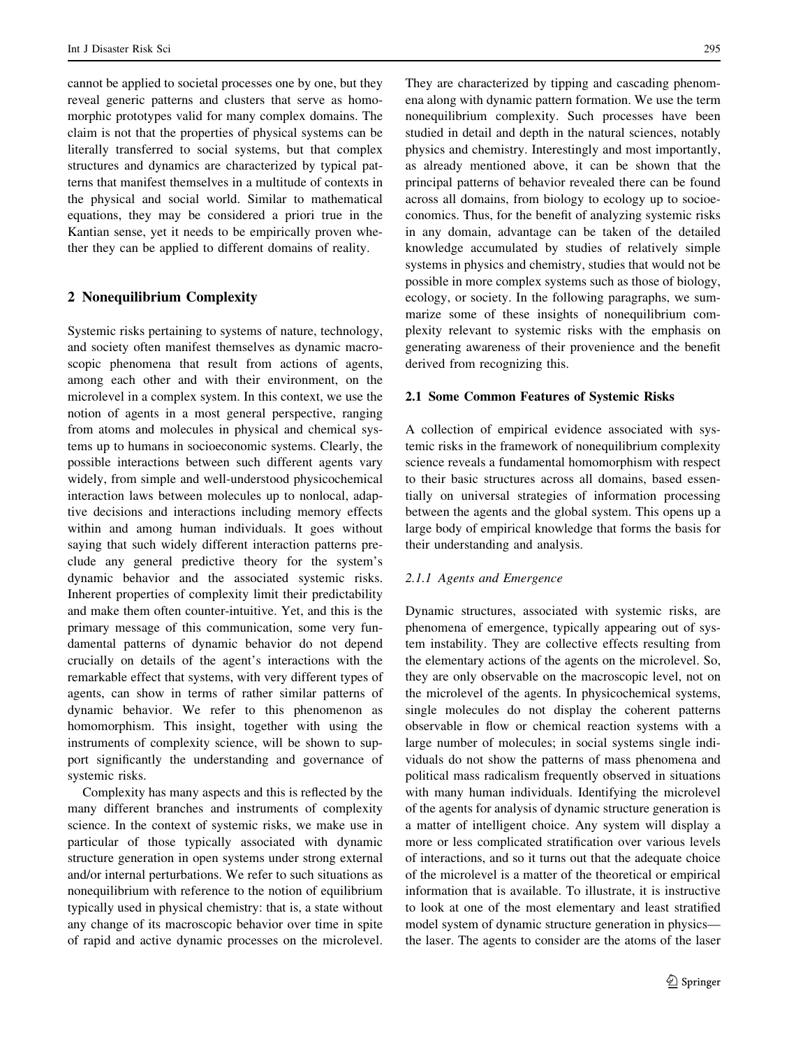cannot be applied to societal processes one by one, but they reveal generic patterns and clusters that serve as homomorphic prototypes valid for many complex domains. The claim is not that the properties of physical systems can be literally transferred to social systems, but that complex structures and dynamics are characterized by typical patterns that manifest themselves in a multitude of contexts in the physical and social world. Similar to mathematical equations, they may be considered a priori true in the Kantian sense, yet it needs to be empirically proven whether they can be applied to different domains of reality.

### 2 Nonequilibrium Complexity

Systemic risks pertaining to systems of nature, technology, and society often manifest themselves as dynamic macroscopic phenomena that result from actions of agents, among each other and with their environment, on the microlevel in a complex system. In this context, we use the notion of agents in a most general perspective, ranging from atoms and molecules in physical and chemical systems up to humans in socioeconomic systems. Clearly, the possible interactions between such different agents vary widely, from simple and well-understood physicochemical interaction laws between molecules up to nonlocal, adaptive decisions and interactions including memory effects within and among human individuals. It goes without saying that such widely different interaction patterns preclude any general predictive theory for the system's dynamic behavior and the associated systemic risks. Inherent properties of complexity limit their predictability and make them often counter-intuitive. Yet, and this is the primary message of this communication, some very fundamental patterns of dynamic behavior do not depend crucially on details of the agent's interactions with the remarkable effect that systems, with very different types of agents, can show in terms of rather similar patterns of dynamic behavior. We refer to this phenomenon as homomorphism. This insight, together with using the instruments of complexity science, will be shown to support significantly the understanding and governance of systemic risks.

Complexity has many aspects and this is reflected by the many different branches and instruments of complexity science. In the context of systemic risks, we make use in particular of those typically associated with dynamic structure generation in open systems under strong external and/or internal perturbations. We refer to such situations as nonequilibrium with reference to the notion of equilibrium typically used in physical chemistry: that is, a state without any change of its macroscopic behavior over time in spite of rapid and active dynamic processes on the microlevel.

They are characterized by tipping and cascading phenomena along with dynamic pattern formation. We use the term nonequilibrium complexity. Such processes have been studied in detail and depth in the natural sciences, notably physics and chemistry. Interestingly and most importantly, as already mentioned above, it can be shown that the principal patterns of behavior revealed there can be found across all domains, from biology to ecology up to socioeconomics. Thus, for the benefit of analyzing systemic risks in any domain, advantage can be taken of the detailed knowledge accumulated by studies of relatively simple systems in physics and chemistry, studies that would not be possible in more complex systems such as those of biology, ecology, or society. In the following paragraphs, we summarize some of these insights of nonequilibrium complexity relevant to systemic risks with the emphasis on generating awareness of their provenience and the benefit derived from recognizing this.

#### 2.1 Some Common Features of Systemic Risks

A collection of empirical evidence associated with systemic risks in the framework of nonequilibrium complexity science reveals a fundamental homomorphism with respect to their basic structures across all domains, based essentially on universal strategies of information processing between the agents and the global system. This opens up a large body of empirical knowledge that forms the basis for their understanding and analysis.

#### 2.1.1 Agents and Emergence

Dynamic structures, associated with systemic risks, are phenomena of emergence, typically appearing out of system instability. They are collective effects resulting from the elementary actions of the agents on the microlevel. So, they are only observable on the macroscopic level, not on the microlevel of the agents. In physicochemical systems, single molecules do not display the coherent patterns observable in flow or chemical reaction systems with a large number of molecules; in social systems single individuals do not show the patterns of mass phenomena and political mass radicalism frequently observed in situations with many human individuals. Identifying the microlevel of the agents for analysis of dynamic structure generation is a matter of intelligent choice. Any system will display a more or less complicated stratification over various levels of interactions, and so it turns out that the adequate choice of the microlevel is a matter of the theoretical or empirical information that is available. To illustrate, it is instructive to look at one of the most elementary and least stratified model system of dynamic structure generation in physics the laser. The agents to consider are the atoms of the laser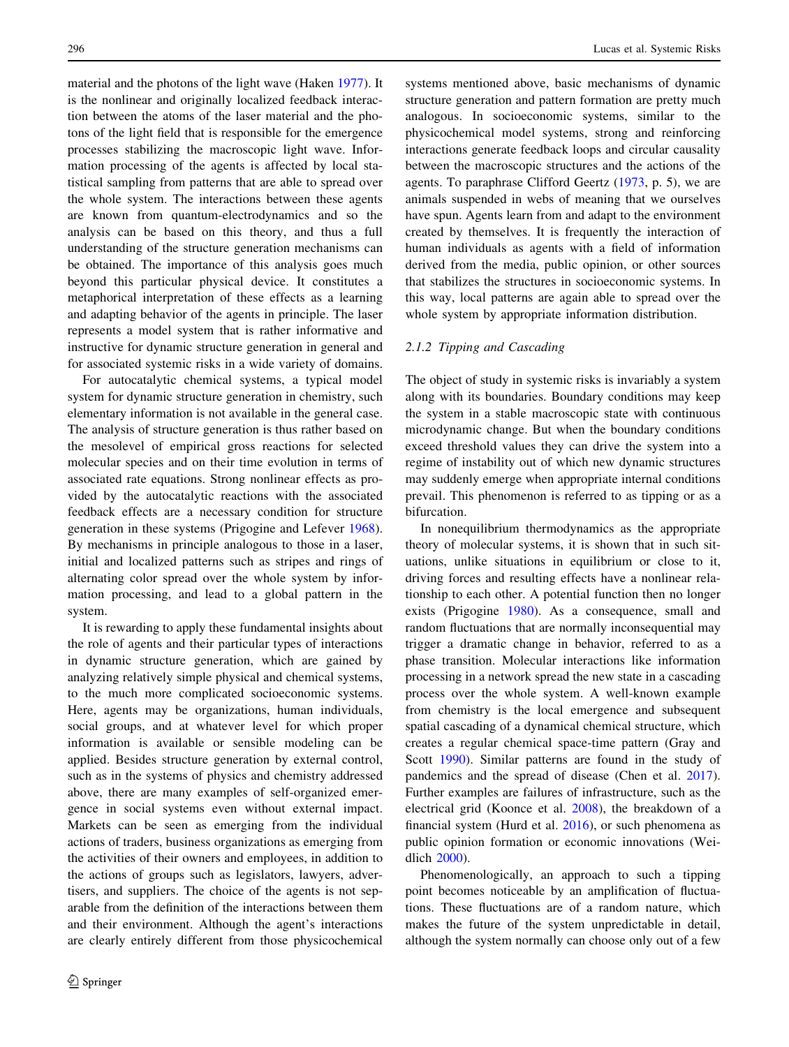material and the photons of the light wave (Haken [1977\)](#page-12-0). It is the nonlinear and originally localized feedback interaction between the atoms of the laser material and the photons of the light field that is responsible for the emergence processes stabilizing the macroscopic light wave. Information processing of the agents is affected by local statistical sampling from patterns that are able to spread over the whole system. The interactions between these agents are known from quantum-electrodynamics and so the analysis can be based on this theory, and thus a full understanding of the structure generation mechanisms can be obtained. The importance of this analysis goes much beyond this particular physical device. It constitutes a metaphorical interpretation of these effects as a learning and adapting behavior of the agents in principle. The laser represents a model system that is rather informative and instructive for dynamic structure generation in general and for associated systemic risks in a wide variety of domains.

For autocatalytic chemical systems, a typical model system for dynamic structure generation in chemistry, such elementary information is not available in the general case. The analysis of structure generation is thus rather based on the mesolevel of empirical gross reactions for selected molecular species and on their time evolution in terms of associated rate equations. Strong nonlinear effects as provided by the autocatalytic reactions with the associated feedback effects are a necessary condition for structure generation in these systems (Prigogine and Lefever [1968](#page-12-0)). By mechanisms in principle analogous to those in a laser, initial and localized patterns such as stripes and rings of alternating color spread over the whole system by information processing, and lead to a global pattern in the system.

It is rewarding to apply these fundamental insights about the role of agents and their particular types of interactions in dynamic structure generation, which are gained by analyzing relatively simple physical and chemical systems, to the much more complicated socioeconomic systems. Here, agents may be organizations, human individuals, social groups, and at whatever level for which proper information is available or sensible modeling can be applied. Besides structure generation by external control, such as in the systems of physics and chemistry addressed above, there are many examples of self-organized emergence in social systems even without external impact. Markets can be seen as emerging from the individual actions of traders, business organizations as emerging from the activities of their owners and employees, in addition to the actions of groups such as legislators, lawyers, advertisers, and suppliers. The choice of the agents is not separable from the definition of the interactions between them and their environment. Although the agent's interactions are clearly entirely different from those physicochemical systems mentioned above, basic mechanisms of dynamic structure generation and pattern formation are pretty much analogous. In socioeconomic systems, similar to the physicochemical model systems, strong and reinforcing interactions generate feedback loops and circular causality between the macroscopic structures and the actions of the agents. To paraphrase Clifford Geertz ([1973,](#page-11-0) p. 5), we are animals suspended in webs of meaning that we ourselves have spun. Agents learn from and adapt to the environment created by themselves. It is frequently the interaction of human individuals as agents with a field of information derived from the media, public opinion, or other sources that stabilizes the structures in socioeconomic systems. In this way, local patterns are again able to spread over the whole system by appropriate information distribution.

## 2.1.2 Tipping and Cascading

The object of study in systemic risks is invariably a system along with its boundaries. Boundary conditions may keep the system in a stable macroscopic state with continuous microdynamic change. But when the boundary conditions exceed threshold values they can drive the system into a regime of instability out of which new dynamic structures may suddenly emerge when appropriate internal conditions prevail. This phenomenon is referred to as tipping or as a bifurcation.

In nonequilibrium thermodynamics as the appropriate theory of molecular systems, it is shown that in such situations, unlike situations in equilibrium or close to it, driving forces and resulting effects have a nonlinear relationship to each other. A potential function then no longer exists (Prigogine [1980](#page-12-0)). As a consequence, small and random fluctuations that are normally inconsequential may trigger a dramatic change in behavior, referred to as a phase transition. Molecular interactions like information processing in a network spread the new state in a cascading process over the whole system. A well-known example from chemistry is the local emergence and subsequent spatial cascading of a dynamical chemical structure, which creates a regular chemical space-time pattern (Gray and Scott [1990\)](#page-12-0). Similar patterns are found in the study of pandemics and the spread of disease (Chen et al. [2017](#page-11-0)). Further examples are failures of infrastructure, such as the electrical grid (Koonce et al. [2008\)](#page-12-0), the breakdown of a financial system (Hurd et al. [2016\)](#page-12-0), or such phenomena as public opinion formation or economic innovations (Weidlich [2000\)](#page-13-0).

Phenomenologically, an approach to such a tipping point becomes noticeable by an amplification of fluctuations. These fluctuations are of a random nature, which makes the future of the system unpredictable in detail, although the system normally can choose only out of a few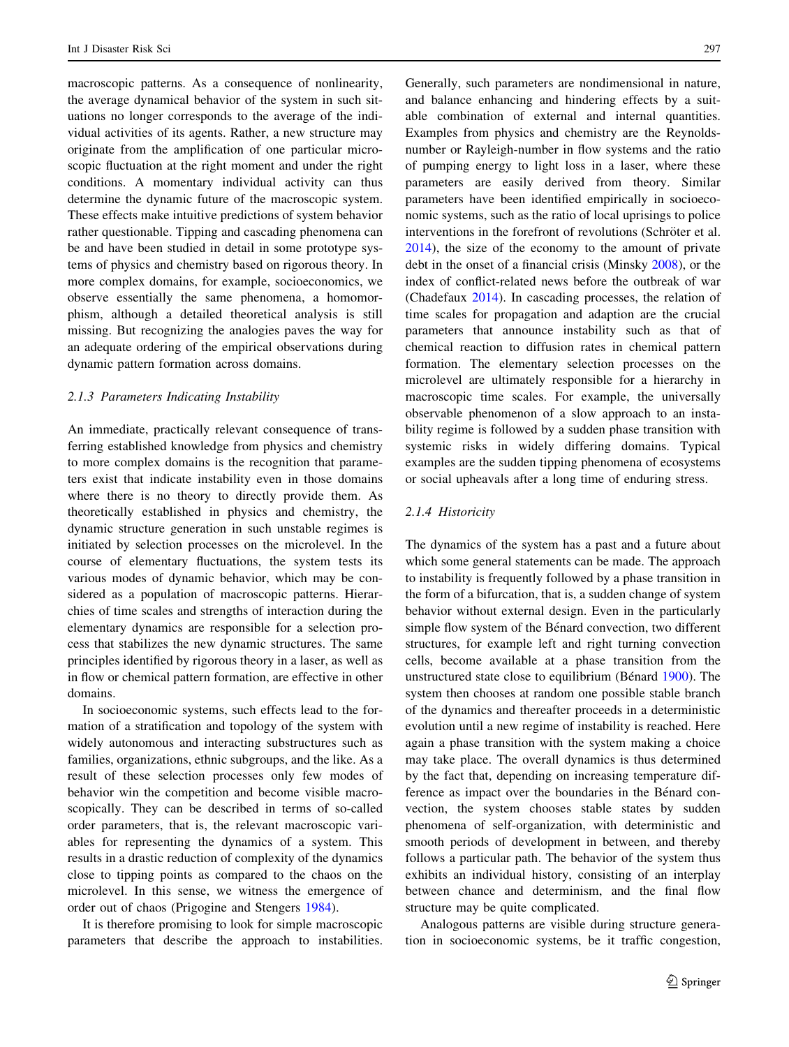macroscopic patterns. As a consequence of nonlinearity, the average dynamical behavior of the system in such situations no longer corresponds to the average of the individual activities of its agents. Rather, a new structure may originate from the amplification of one particular microscopic fluctuation at the right moment and under the right conditions. A momentary individual activity can thus determine the dynamic future of the macroscopic system. These effects make intuitive predictions of system behavior rather questionable. Tipping and cascading phenomena can be and have been studied in detail in some prototype systems of physics and chemistry based on rigorous theory. In more complex domains, for example, socioeconomics, we observe essentially the same phenomena, a homomorphism, although a detailed theoretical analysis is still missing. But recognizing the analogies paves the way for an adequate ordering of the empirical observations during dynamic pattern formation across domains.

#### 2.1.3 Parameters Indicating Instability

An immediate, practically relevant consequence of transferring established knowledge from physics and chemistry to more complex domains is the recognition that parameters exist that indicate instability even in those domains where there is no theory to directly provide them. As theoretically established in physics and chemistry, the dynamic structure generation in such unstable regimes is initiated by selection processes on the microlevel. In the course of elementary fluctuations, the system tests its various modes of dynamic behavior, which may be considered as a population of macroscopic patterns. Hierarchies of time scales and strengths of interaction during the elementary dynamics are responsible for a selection process that stabilizes the new dynamic structures. The same principles identified by rigorous theory in a laser, as well as in flow or chemical pattern formation, are effective in other domains.

In socioeconomic systems, such effects lead to the formation of a stratification and topology of the system with widely autonomous and interacting substructures such as families, organizations, ethnic subgroups, and the like. As a result of these selection processes only few modes of behavior win the competition and become visible macroscopically. They can be described in terms of so-called order parameters, that is, the relevant macroscopic variables for representing the dynamics of a system. This results in a drastic reduction of complexity of the dynamics close to tipping points as compared to the chaos on the microlevel. In this sense, we witness the emergence of order out of chaos (Prigogine and Stengers [1984](#page-12-0)).

It is therefore promising to look for simple macroscopic parameters that describe the approach to instabilities. Generally, such parameters are nondimensional in nature, and balance enhancing and hindering effects by a suitable combination of external and internal quantities. Examples from physics and chemistry are the Reynoldsnumber or Rayleigh-number in flow systems and the ratio of pumping energy to light loss in a laser, where these parameters are easily derived from theory. Similar parameters have been identified empirically in socioeconomic systems, such as the ratio of local uprisings to police interventions in the forefront of revolutions (Schröter et al. [2014](#page-12-0)), the size of the economy to the amount of private debt in the onset of a financial crisis (Minsky [2008](#page-12-0)), or the index of conflict-related news before the outbreak of war (Chadefaux [2014](#page-11-0)). In cascading processes, the relation of time scales for propagation and adaption are the crucial parameters that announce instability such as that of chemical reaction to diffusion rates in chemical pattern formation. The elementary selection processes on the microlevel are ultimately responsible for a hierarchy in macroscopic time scales. For example, the universally observable phenomenon of a slow approach to an instability regime is followed by a sudden phase transition with systemic risks in widely differing domains. Typical examples are the sudden tipping phenomena of ecosystems or social upheavals after a long time of enduring stress.

#### 2.1.4 Historicity

The dynamics of the system has a past and a future about which some general statements can be made. The approach to instability is frequently followed by a phase transition in the form of a bifurcation, that is, a sudden change of system behavior without external design. Even in the particularly simple flow system of the Bénard convection, two different structures, for example left and right turning convection cells, become available at a phase transition from the unstructured state close to equilibrium (Bénard [1900\)](#page-11-0). The system then chooses at random one possible stable branch of the dynamics and thereafter proceeds in a deterministic evolution until a new regime of instability is reached. Here again a phase transition with the system making a choice may take place. The overall dynamics is thus determined by the fact that, depending on increasing temperature difference as impact over the boundaries in the Bénard convection, the system chooses stable states by sudden phenomena of self-organization, with deterministic and smooth periods of development in between, and thereby follows a particular path. The behavior of the system thus exhibits an individual history, consisting of an interplay between chance and determinism, and the final flow structure may be quite complicated.

Analogous patterns are visible during structure generation in socioeconomic systems, be it traffic congestion,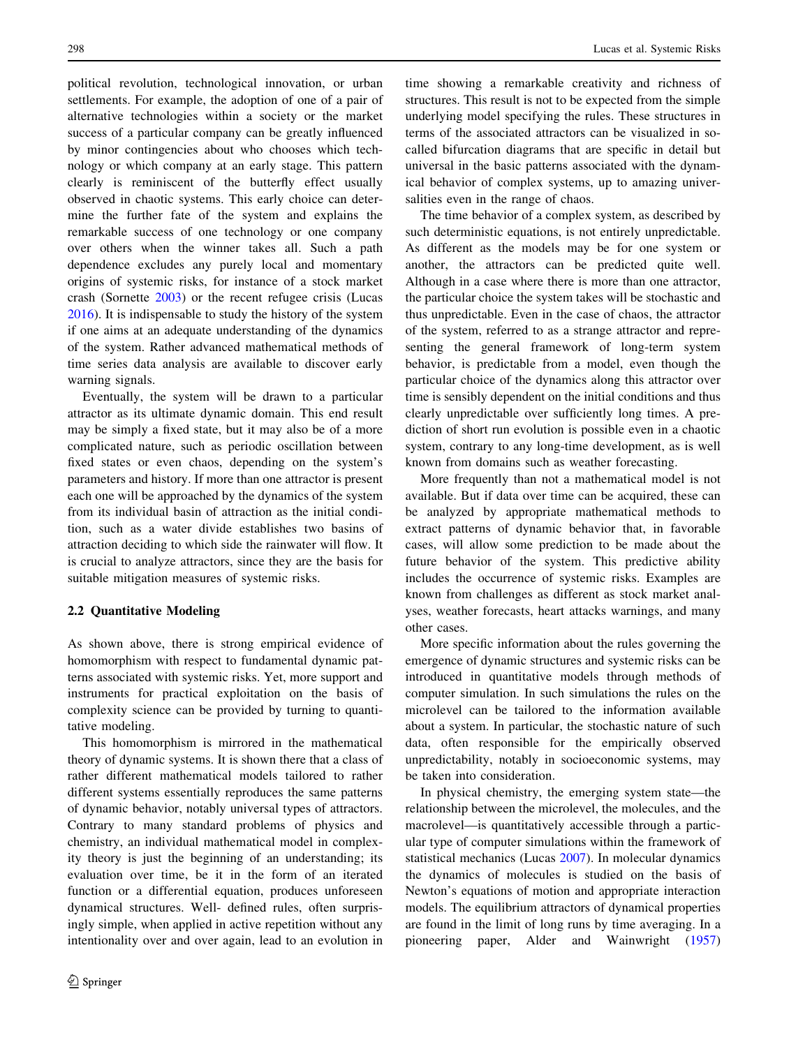political revolution, technological innovation, or urban settlements. For example, the adoption of one of a pair of alternative technologies within a society or the market success of a particular company can be greatly influenced by minor contingencies about who chooses which technology or which company at an early stage. This pattern clearly is reminiscent of the butterfly effect usually observed in chaotic systems. This early choice can determine the further fate of the system and explains the remarkable success of one technology or one company over others when the winner takes all. Such a path dependence excludes any purely local and momentary origins of systemic risks, for instance of a stock market crash (Sornette [2003](#page-13-0)) or the recent refugee crisis (Lucas [2016\)](#page-12-0). It is indispensable to study the history of the system if one aims at an adequate understanding of the dynamics of the system. Rather advanced mathematical methods of time series data analysis are available to discover early warning signals.

Eventually, the system will be drawn to a particular attractor as its ultimate dynamic domain. This end result may be simply a fixed state, but it may also be of a more complicated nature, such as periodic oscillation between fixed states or even chaos, depending on the system's parameters and history. If more than one attractor is present each one will be approached by the dynamics of the system from its individual basin of attraction as the initial condition, such as a water divide establishes two basins of attraction deciding to which side the rainwater will flow. It is crucial to analyze attractors, since they are the basis for suitable mitigation measures of systemic risks.

#### 2.2 Quantitative Modeling

As shown above, there is strong empirical evidence of homomorphism with respect to fundamental dynamic patterns associated with systemic risks. Yet, more support and instruments for practical exploitation on the basis of complexity science can be provided by turning to quantitative modeling.

This homomorphism is mirrored in the mathematical theory of dynamic systems. It is shown there that a class of rather different mathematical models tailored to rather different systems essentially reproduces the same patterns of dynamic behavior, notably universal types of attractors. Contrary to many standard problems of physics and chemistry, an individual mathematical model in complexity theory is just the beginning of an understanding; its evaluation over time, be it in the form of an iterated function or a differential equation, produces unforeseen dynamical structures. Well- defined rules, often surprisingly simple, when applied in active repetition without any intentionality over and over again, lead to an evolution in

time showing a remarkable creativity and richness of structures. This result is not to be expected from the simple underlying model specifying the rules. These structures in terms of the associated attractors can be visualized in socalled bifurcation diagrams that are specific in detail but universal in the basic patterns associated with the dynamical behavior of complex systems, up to amazing universalities even in the range of chaos.

The time behavior of a complex system, as described by such deterministic equations, is not entirely unpredictable. As different as the models may be for one system or another, the attractors can be predicted quite well. Although in a case where there is more than one attractor, the particular choice the system takes will be stochastic and thus unpredictable. Even in the case of chaos, the attractor of the system, referred to as a strange attractor and representing the general framework of long-term system behavior, is predictable from a model, even though the particular choice of the dynamics along this attractor over time is sensibly dependent on the initial conditions and thus clearly unpredictable over sufficiently long times. A prediction of short run evolution is possible even in a chaotic system, contrary to any long-time development, as is well known from domains such as weather forecasting.

More frequently than not a mathematical model is not available. But if data over time can be acquired, these can be analyzed by appropriate mathematical methods to extract patterns of dynamic behavior that, in favorable cases, will allow some prediction to be made about the future behavior of the system. This predictive ability includes the occurrence of systemic risks. Examples are known from challenges as different as stock market analyses, weather forecasts, heart attacks warnings, and many other cases.

More specific information about the rules governing the emergence of dynamic structures and systemic risks can be introduced in quantitative models through methods of computer simulation. In such simulations the rules on the microlevel can be tailored to the information available about a system. In particular, the stochastic nature of such data, often responsible for the empirically observed unpredictability, notably in socioeconomic systems, may be taken into consideration.

In physical chemistry, the emerging system state—the relationship between the microlevel, the molecules, and the macrolevel—is quantitatively accessible through a particular type of computer simulations within the framework of statistical mechanics (Lucas [2007\)](#page-12-0). In molecular dynamics the dynamics of molecules is studied on the basis of Newton's equations of motion and appropriate interaction models. The equilibrium attractors of dynamical properties are found in the limit of long runs by time averaging. In a pioneering paper, Alder and Wainwright ([1957\)](#page-11-0)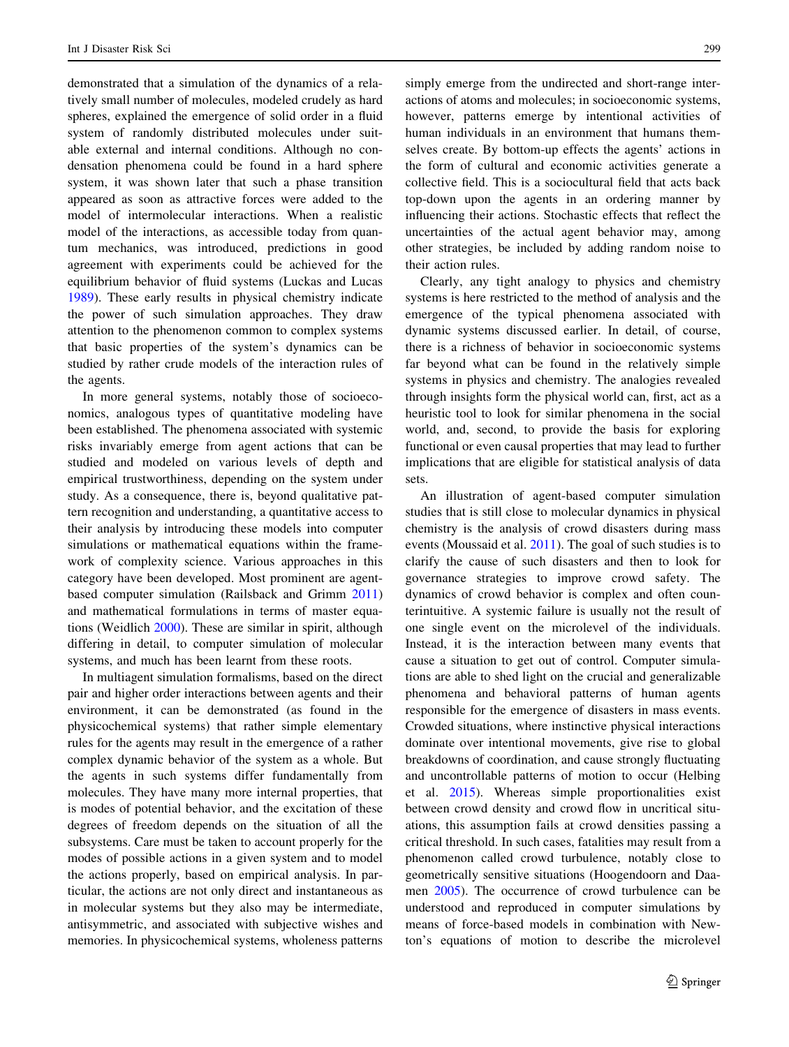demonstrated that a simulation of the dynamics of a relatively small number of molecules, modeled crudely as hard spheres, explained the emergence of solid order in a fluid system of randomly distributed molecules under suitable external and internal conditions. Although no condensation phenomena could be found in a hard sphere system, it was shown later that such a phase transition appeared as soon as attractive forces were added to the model of intermolecular interactions. When a realistic model of the interactions, as accessible today from quantum mechanics, was introduced, predictions in good agreement with experiments could be achieved for the equilibrium behavior of fluid systems (Luckas and Lucas [1989\)](#page-12-0). These early results in physical chemistry indicate the power of such simulation approaches. They draw attention to the phenomenon common to complex systems that basic properties of the system's dynamics can be studied by rather crude models of the interaction rules of the agents.

In more general systems, notably those of socioeconomics, analogous types of quantitative modeling have been established. The phenomena associated with systemic risks invariably emerge from agent actions that can be studied and modeled on various levels of depth and empirical trustworthiness, depending on the system under study. As a consequence, there is, beyond qualitative pattern recognition and understanding, a quantitative access to their analysis by introducing these models into computer simulations or mathematical equations within the framework of complexity science. Various approaches in this category have been developed. Most prominent are agentbased computer simulation (Railsback and Grimm [2011\)](#page-12-0) and mathematical formulations in terms of master equations (Weidlich [2000](#page-13-0)). These are similar in spirit, although differing in detail, to computer simulation of molecular systems, and much has been learnt from these roots.

In multiagent simulation formalisms, based on the direct pair and higher order interactions between agents and their environment, it can be demonstrated (as found in the physicochemical systems) that rather simple elementary rules for the agents may result in the emergence of a rather complex dynamic behavior of the system as a whole. But the agents in such systems differ fundamentally from molecules. They have many more internal properties, that is modes of potential behavior, and the excitation of these degrees of freedom depends on the situation of all the subsystems. Care must be taken to account properly for the modes of possible actions in a given system and to model the actions properly, based on empirical analysis. In particular, the actions are not only direct and instantaneous as in molecular systems but they also may be intermediate, antisymmetric, and associated with subjective wishes and memories. In physicochemical systems, wholeness patterns

simply emerge from the undirected and short-range interactions of atoms and molecules; in socioeconomic systems, however, patterns emerge by intentional activities of human individuals in an environment that humans themselves create. By bottom-up effects the agents' actions in the form of cultural and economic activities generate a collective field. This is a sociocultural field that acts back top-down upon the agents in an ordering manner by influencing their actions. Stochastic effects that reflect the uncertainties of the actual agent behavior may, among other strategies, be included by adding random noise to their action rules.

Clearly, any tight analogy to physics and chemistry systems is here restricted to the method of analysis and the emergence of the typical phenomena associated with dynamic systems discussed earlier. In detail, of course, there is a richness of behavior in socioeconomic systems far beyond what can be found in the relatively simple systems in physics and chemistry. The analogies revealed through insights form the physical world can, first, act as a heuristic tool to look for similar phenomena in the social world, and, second, to provide the basis for exploring functional or even causal properties that may lead to further implications that are eligible for statistical analysis of data sets.

An illustration of agent-based computer simulation studies that is still close to molecular dynamics in physical chemistry is the analysis of crowd disasters during mass events (Moussaid et al. [2011](#page-12-0)). The goal of such studies is to clarify the cause of such disasters and then to look for governance strategies to improve crowd safety. The dynamics of crowd behavior is complex and often counterintuitive. A systemic failure is usually not the result of one single event on the microlevel of the individuals. Instead, it is the interaction between many events that cause a situation to get out of control. Computer simulations are able to shed light on the crucial and generalizable phenomena and behavioral patterns of human agents responsible for the emergence of disasters in mass events. Crowded situations, where instinctive physical interactions dominate over intentional movements, give rise to global breakdowns of coordination, and cause strongly fluctuating and uncontrollable patterns of motion to occur (Helbing et al. [2015](#page-12-0)). Whereas simple proportionalities exist between crowd density and crowd flow in uncritical situations, this assumption fails at crowd densities passing a critical threshold. In such cases, fatalities may result from a phenomenon called crowd turbulence, notably close to geometrically sensitive situations (Hoogendoorn and Daamen [2005\)](#page-12-0). The occurrence of crowd turbulence can be understood and reproduced in computer simulations by means of force-based models in combination with Newton's equations of motion to describe the microlevel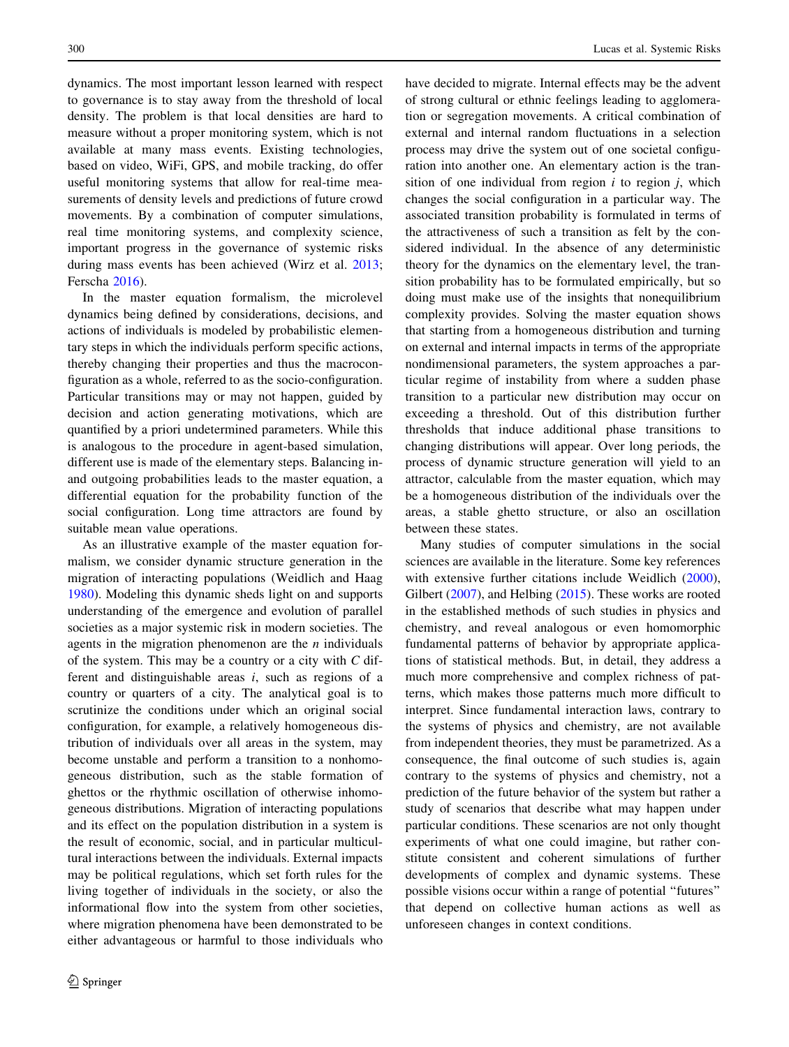dynamics. The most important lesson learned with respect to governance is to stay away from the threshold of local density. The problem is that local densities are hard to measure without a proper monitoring system, which is not available at many mass events. Existing technologies, based on video, WiFi, GPS, and mobile tracking, do offer useful monitoring systems that allow for real-time measurements of density levels and predictions of future crowd movements. By a combination of computer simulations, real time monitoring systems, and complexity science, important progress in the governance of systemic risks during mass events has been achieved (Wirz et al. [2013](#page-13-0); Ferscha [2016](#page-11-0)).

In the master equation formalism, the microlevel dynamics being defined by considerations, decisions, and actions of individuals is modeled by probabilistic elementary steps in which the individuals perform specific actions, thereby changing their properties and thus the macroconfiguration as a whole, referred to as the socio-configuration. Particular transitions may or may not happen, guided by decision and action generating motivations, which are quantified by a priori undetermined parameters. While this is analogous to the procedure in agent-based simulation, different use is made of the elementary steps. Balancing inand outgoing probabilities leads to the master equation, a differential equation for the probability function of the social configuration. Long time attractors are found by suitable mean value operations.

As an illustrative example of the master equation formalism, we consider dynamic structure generation in the migration of interacting populations (Weidlich and Haag [1980\)](#page-13-0). Modeling this dynamic sheds light on and supports understanding of the emergence and evolution of parallel societies as a major systemic risk in modern societies. The agents in the migration phenomenon are the  $n$  individuals of the system. This may be a country or a city with  $C$  different and distinguishable areas  $i$ , such as regions of a country or quarters of a city. The analytical goal is to scrutinize the conditions under which an original social configuration, for example, a relatively homogeneous distribution of individuals over all areas in the system, may become unstable and perform a transition to a nonhomogeneous distribution, such as the stable formation of ghettos or the rhythmic oscillation of otherwise inhomogeneous distributions. Migration of interacting populations and its effect on the population distribution in a system is the result of economic, social, and in particular multicultural interactions between the individuals. External impacts may be political regulations, which set forth rules for the living together of individuals in the society, or also the informational flow into the system from other societies, where migration phenomena have been demonstrated to be either advantageous or harmful to those individuals who

have decided to migrate. Internal effects may be the advent of strong cultural or ethnic feelings leading to agglomeration or segregation movements. A critical combination of external and internal random fluctuations in a selection process may drive the system out of one societal configuration into another one. An elementary action is the transition of one individual from region  $i$  to region  $j$ , which changes the social configuration in a particular way. The associated transition probability is formulated in terms of the attractiveness of such a transition as felt by the considered individual. In the absence of any deterministic theory for the dynamics on the elementary level, the transition probability has to be formulated empirically, but so doing must make use of the insights that nonequilibrium complexity provides. Solving the master equation shows that starting from a homogeneous distribution and turning on external and internal impacts in terms of the appropriate nondimensional parameters, the system approaches a particular regime of instability from where a sudden phase transition to a particular new distribution may occur on exceeding a threshold. Out of this distribution further thresholds that induce additional phase transitions to changing distributions will appear. Over long periods, the process of dynamic structure generation will yield to an attractor, calculable from the master equation, which may be a homogeneous distribution of the individuals over the areas, a stable ghetto structure, or also an oscillation between these states.

Many studies of computer simulations in the social sciences are available in the literature. Some key references with extensive further citations include Weidlich [\(2000](#page-13-0)), Gilbert [\(2007](#page-12-0)), and Helbing [\(2015\)](#page-12-0). These works are rooted in the established methods of such studies in physics and chemistry, and reveal analogous or even homomorphic fundamental patterns of behavior by appropriate applications of statistical methods. But, in detail, they address a much more comprehensive and complex richness of patterns, which makes those patterns much more difficult to interpret. Since fundamental interaction laws, contrary to the systems of physics and chemistry, are not available from independent theories, they must be parametrized. As a consequence, the final outcome of such studies is, again contrary to the systems of physics and chemistry, not a prediction of the future behavior of the system but rather a study of scenarios that describe what may happen under particular conditions. These scenarios are not only thought experiments of what one could imagine, but rather constitute consistent and coherent simulations of further developments of complex and dynamic systems. These possible visions occur within a range of potential ''futures'' that depend on collective human actions as well as unforeseen changes in context conditions.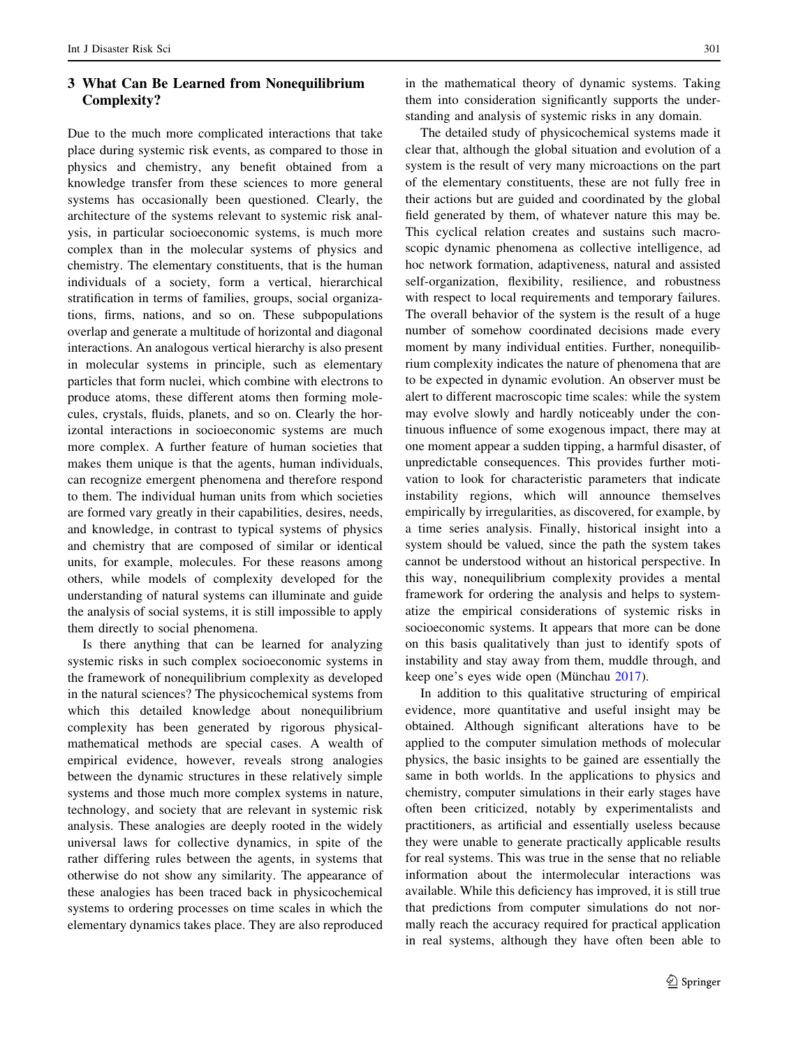# 3 What Can Be Learned from Nonequilibrium Complexity?

Due to the much more complicated interactions that take place during systemic risk events, as compared to those in physics and chemistry, any benefit obtained from a knowledge transfer from these sciences to more general systems has occasionally been questioned. Clearly, the architecture of the systems relevant to systemic risk analysis, in particular socioeconomic systems, is much more complex than in the molecular systems of physics and chemistry. The elementary constituents, that is the human individuals of a society, form a vertical, hierarchical stratification in terms of families, groups, social organizations, firms, nations, and so on. These subpopulations overlap and generate a multitude of horizontal and diagonal interactions. An analogous vertical hierarchy is also present in molecular systems in principle, such as elementary particles that form nuclei, which combine with electrons to produce atoms, these different atoms then forming molecules, crystals, fluids, planets, and so on. Clearly the horizontal interactions in socioeconomic systems are much more complex. A further feature of human societies that makes them unique is that the agents, human individuals, can recognize emergent phenomena and therefore respond to them. The individual human units from which societies are formed vary greatly in their capabilities, desires, needs, and knowledge, in contrast to typical systems of physics and chemistry that are composed of similar or identical units, for example, molecules. For these reasons among others, while models of complexity developed for the understanding of natural systems can illuminate and guide the analysis of social systems, it is still impossible to apply them directly to social phenomena.

Is there anything that can be learned for analyzing systemic risks in such complex socioeconomic systems in the framework of nonequilibrium complexity as developed in the natural sciences? The physicochemical systems from which this detailed knowledge about nonequilibrium complexity has been generated by rigorous physicalmathematical methods are special cases. A wealth of empirical evidence, however, reveals strong analogies between the dynamic structures in these relatively simple systems and those much more complex systems in nature, technology, and society that are relevant in systemic risk analysis. These analogies are deeply rooted in the widely universal laws for collective dynamics, in spite of the rather differing rules between the agents, in systems that otherwise do not show any similarity. The appearance of these analogies has been traced back in physicochemical systems to ordering processes on time scales in which the elementary dynamics takes place. They are also reproduced in the mathematical theory of dynamic systems. Taking them into consideration significantly supports the understanding and analysis of systemic risks in any domain.

The detailed study of physicochemical systems made it clear that, although the global situation and evolution of a system is the result of very many microactions on the part of the elementary constituents, these are not fully free in their actions but are guided and coordinated by the global field generated by them, of whatever nature this may be. This cyclical relation creates and sustains such macroscopic dynamic phenomena as collective intelligence, ad hoc network formation, adaptiveness, natural and assisted self-organization, flexibility, resilience, and robustness with respect to local requirements and temporary failures. The overall behavior of the system is the result of a huge number of somehow coordinated decisions made every moment by many individual entities. Further, nonequilibrium complexity indicates the nature of phenomena that are to be expected in dynamic evolution. An observer must be alert to different macroscopic time scales: while the system may evolve slowly and hardly noticeably under the continuous influence of some exogenous impact, there may at one moment appear a sudden tipping, a harmful disaster, of unpredictable consequences. This provides further motivation to look for characteristic parameters that indicate instability regions, which will announce themselves empirically by irregularities, as discovered, for example, by a time series analysis. Finally, historical insight into a system should be valued, since the path the system takes cannot be understood without an historical perspective. In this way, nonequilibrium complexity provides a mental framework for ordering the analysis and helps to systematize the empirical considerations of systemic risks in socioeconomic systems. It appears that more can be done on this basis qualitatively than just to identify spots of instability and stay away from them, muddle through, and keep one's eyes wide open (Münchau [2017](#page-12-0)).

In addition to this qualitative structuring of empirical evidence, more quantitative and useful insight may be obtained. Although significant alterations have to be applied to the computer simulation methods of molecular physics, the basic insights to be gained are essentially the same in both worlds. In the applications to physics and chemistry, computer simulations in their early stages have often been criticized, notably by experimentalists and practitioners, as artificial and essentially useless because they were unable to generate practically applicable results for real systems. This was true in the sense that no reliable information about the intermolecular interactions was available. While this deficiency has improved, it is still true that predictions from computer simulations do not normally reach the accuracy required for practical application in real systems, although they have often been able to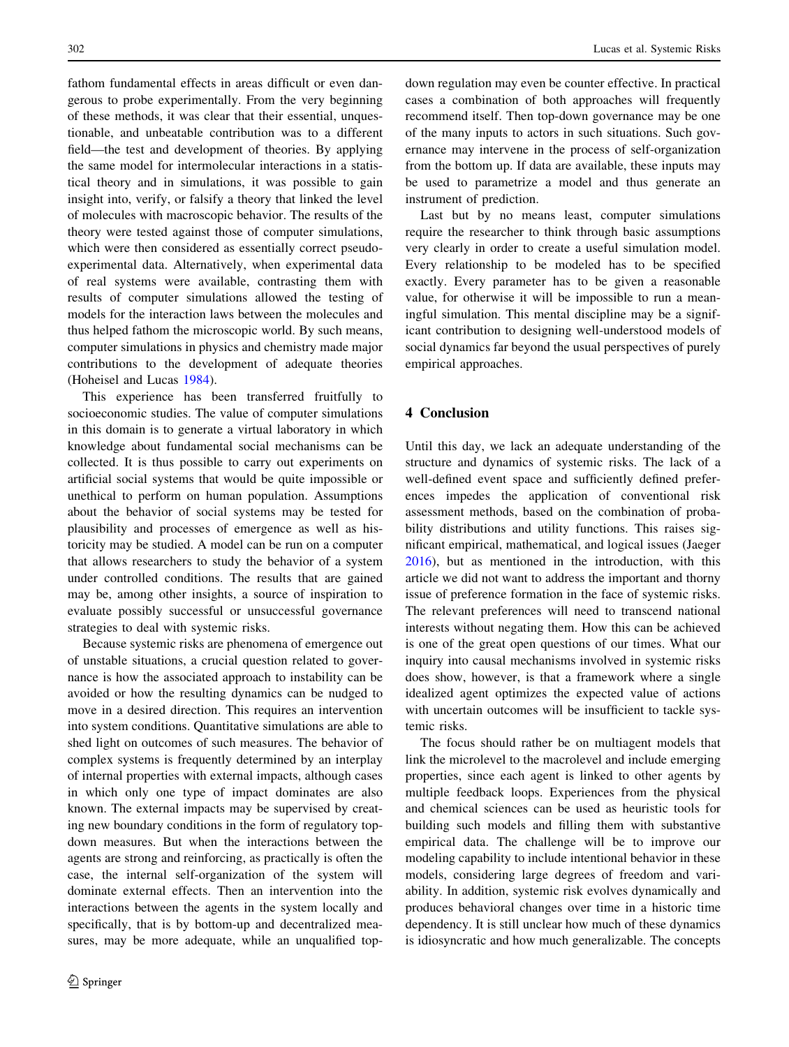fathom fundamental effects in areas difficult or even dangerous to probe experimentally. From the very beginning of these methods, it was clear that their essential, unquestionable, and unbeatable contribution was to a different field—the test and development of theories. By applying the same model for intermolecular interactions in a statistical theory and in simulations, it was possible to gain insight into, verify, or falsify a theory that linked the level of molecules with macroscopic behavior. The results of the theory were tested against those of computer simulations, which were then considered as essentially correct pseudoexperimental data. Alternatively, when experimental data of real systems were available, contrasting them with results of computer simulations allowed the testing of models for the interaction laws between the molecules and thus helped fathom the microscopic world. By such means, computer simulations in physics and chemistry made major contributions to the development of adequate theories (Hoheisel and Lucas [1984](#page-12-0)).

This experience has been transferred fruitfully to socioeconomic studies. The value of computer simulations in this domain is to generate a virtual laboratory in which knowledge about fundamental social mechanisms can be collected. It is thus possible to carry out experiments on artificial social systems that would be quite impossible or unethical to perform on human population. Assumptions about the behavior of social systems may be tested for plausibility and processes of emergence as well as historicity may be studied. A model can be run on a computer that allows researchers to study the behavior of a system under controlled conditions. The results that are gained may be, among other insights, a source of inspiration to evaluate possibly successful or unsuccessful governance strategies to deal with systemic risks.

Because systemic risks are phenomena of emergence out of unstable situations, a crucial question related to governance is how the associated approach to instability can be avoided or how the resulting dynamics can be nudged to move in a desired direction. This requires an intervention into system conditions. Quantitative simulations are able to shed light on outcomes of such measures. The behavior of complex systems is frequently determined by an interplay of internal properties with external impacts, although cases in which only one type of impact dominates are also known. The external impacts may be supervised by creating new boundary conditions in the form of regulatory topdown measures. But when the interactions between the agents are strong and reinforcing, as practically is often the case, the internal self-organization of the system will dominate external effects. Then an intervention into the interactions between the agents in the system locally and specifically, that is by bottom-up and decentralized measures, may be more adequate, while an unqualified topdown regulation may even be counter effective. In practical cases a combination of both approaches will frequently recommend itself. Then top-down governance may be one of the many inputs to actors in such situations. Such governance may intervene in the process of self-organization from the bottom up. If data are available, these inputs may be used to parametrize a model and thus generate an instrument of prediction.

Last but by no means least, computer simulations require the researcher to think through basic assumptions very clearly in order to create a useful simulation model. Every relationship to be modeled has to be specified exactly. Every parameter has to be given a reasonable value, for otherwise it will be impossible to run a meaningful simulation. This mental discipline may be a significant contribution to designing well-understood models of social dynamics far beyond the usual perspectives of purely empirical approaches.

## 4 Conclusion

Until this day, we lack an adequate understanding of the structure and dynamics of systemic risks. The lack of a well-defined event space and sufficiently defined preferences impedes the application of conventional risk assessment methods, based on the combination of probability distributions and utility functions. This raises significant empirical, mathematical, and logical issues (Jaeger [2016](#page-12-0)), but as mentioned in the introduction, with this article we did not want to address the important and thorny issue of preference formation in the face of systemic risks. The relevant preferences will need to transcend national interests without negating them. How this can be achieved is one of the great open questions of our times. What our inquiry into causal mechanisms involved in systemic risks does show, however, is that a framework where a single idealized agent optimizes the expected value of actions with uncertain outcomes will be insufficient to tackle systemic risks.

The focus should rather be on multiagent models that link the microlevel to the macrolevel and include emerging properties, since each agent is linked to other agents by multiple feedback loops. Experiences from the physical and chemical sciences can be used as heuristic tools for building such models and filling them with substantive empirical data. The challenge will be to improve our modeling capability to include intentional behavior in these models, considering large degrees of freedom and variability. In addition, systemic risk evolves dynamically and produces behavioral changes over time in a historic time dependency. It is still unclear how much of these dynamics is idiosyncratic and how much generalizable. The concepts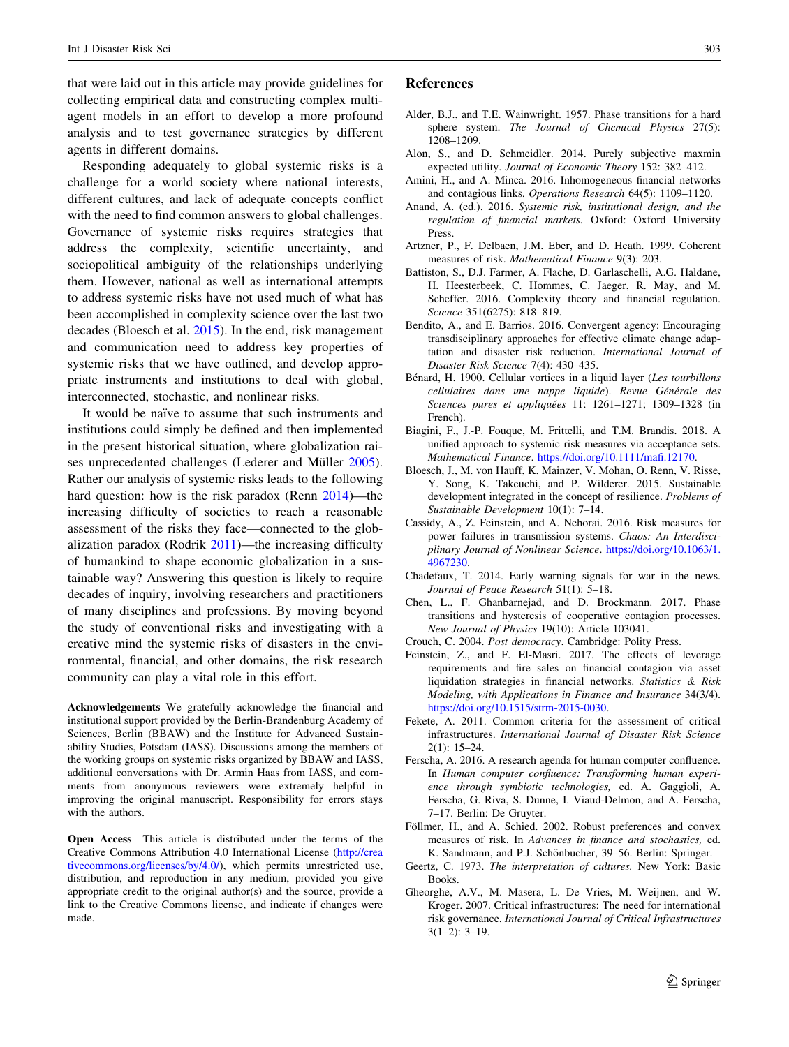<span id="page-11-0"></span>that were laid out in this article may provide guidelines for collecting empirical data and constructing complex multiagent models in an effort to develop a more profound analysis and to test governance strategies by different agents in different domains.

Responding adequately to global systemic risks is a challenge for a world society where national interests, different cultures, and lack of adequate concepts conflict with the need to find common answers to global challenges. Governance of systemic risks requires strategies that address the complexity, scientific uncertainty, and sociopolitical ambiguity of the relationships underlying them. However, national as well as international attempts to address systemic risks have not used much of what has been accomplished in complexity science over the last two decades (Bloesch et al. 2015). In the end, risk management and communication need to address key properties of systemic risks that we have outlined, and develop appropriate instruments and institutions to deal with global, interconnected, stochastic, and nonlinear risks.

It would be naïve to assume that such instruments and institutions could simply be defined and then implemented in the present historical situation, where globalization rai-ses unprecedented challenges (Lederer and Müller [2005](#page-12-0)). Rather our analysis of systemic risks leads to the following hard question: how is the risk paradox (Renn [2014\)](#page-12-0)—the increasing difficulty of societies to reach a reasonable assessment of the risks they face—connected to the globalization paradox (Rodrik [2011\)](#page-12-0)—the increasing difficulty of humankind to shape economic globalization in a sustainable way? Answering this question is likely to require decades of inquiry, involving researchers and practitioners of many disciplines and professions. By moving beyond the study of conventional risks and investigating with a creative mind the systemic risks of disasters in the environmental, financial, and other domains, the risk research community can play a vital role in this effort.

Acknowledgements We gratefully acknowledge the financial and institutional support provided by the Berlin-Brandenburg Academy of Sciences, Berlin (BBAW) and the Institute for Advanced Sustainability Studies, Potsdam (IASS). Discussions among the members of the working groups on systemic risks organized by BBAW and IASS, additional conversations with Dr. Armin Haas from IASS, and comments from anonymous reviewers were extremely helpful in improving the original manuscript. Responsibility for errors stays with the authors.

Open Access This article is distributed under the terms of the Creative Commons Attribution 4.0 International License ([http://crea](http://creativecommons.org/licenses/by/4.0/) [tivecommons.org/licenses/by/4.0/\)](http://creativecommons.org/licenses/by/4.0/), which permits unrestricted use, distribution, and reproduction in any medium, provided you give appropriate credit to the original author(s) and the source, provide a link to the Creative Commons license, and indicate if changes were made.

#### References

- Alder, B.J., and T.E. Wainwright. 1957. Phase transitions for a hard sphere system. The Journal of Chemical Physics 27(5): 1208–1209.
- Alon, S., and D. Schmeidler. 2014. Purely subjective maxmin expected utility. Journal of Economic Theory 152: 382–412.
- Amini, H., and A. Minca. 2016. Inhomogeneous financial networks and contagious links. Operations Research 64(5): 1109–1120.
- Anand, A. (ed.). 2016. Systemic risk, institutional design, and the regulation of financial markets. Oxford: Oxford University Press.
- Artzner, P., F. Delbaen, J.M. Eber, and D. Heath. 1999. Coherent measures of risk. Mathematical Finance 9(3): 203.
- Battiston, S., D.J. Farmer, A. Flache, D. Garlaschelli, A.G. Haldane, H. Heesterbeek, C. Hommes, C. Jaeger, R. May, and M. Scheffer. 2016. Complexity theory and financial regulation. Science 351(6275): 818–819.
- Bendito, A., and E. Barrios. 2016. Convergent agency: Encouraging transdisciplinary approaches for effective climate change adaptation and disaster risk reduction. International Journal of Disaster Risk Science 7(4): 430–435.
- Bénard, H. 1900. Cellular vortices in a liquid layer (Les tourbillons cellulaires dans une nappe liquide). Revue Générale des Sciences pures et appliquées 11: 1261-1271; 1309-1328 (in French).
- Biagini, F., J.-P. Fouque, M. Frittelli, and T.M. Brandis. 2018. A unified approach to systemic risk measures via acceptance sets. Mathematical Finance. [https://doi.org/10.1111/mafi.12170.](https://doi.org/10.1111/mafi.12170)
- Bloesch, J., M. von Hauff, K. Mainzer, V. Mohan, O. Renn, V. Risse, Y. Song, K. Takeuchi, and P. Wilderer. 2015. Sustainable development integrated in the concept of resilience. Problems of Sustainable Development 10(1): 7–14.
- Cassidy, A., Z. Feinstein, and A. Nehorai. 2016. Risk measures for power failures in transmission systems. Chaos: An Interdisciplinary Journal of Nonlinear Science. [https://doi.org/10.1063/1.](https://doi.org/10.1063/1.4967230) [4967230.](https://doi.org/10.1063/1.4967230)
- Chadefaux, T. 2014. Early warning signals for war in the news. Journal of Peace Research 51(1): 5–18.
- Chen, L., F. Ghanbarnejad, and D. Brockmann. 2017. Phase transitions and hysteresis of cooperative contagion processes. New Journal of Physics 19(10): Article 103041.
- Crouch, C. 2004. Post democracy. Cambridge: Polity Press.
- Feinstein, Z., and F. El-Masri. 2017. The effects of leverage requirements and fire sales on financial contagion via asset liquidation strategies in financial networks. Statistics & Risk Modeling, with Applications in Finance and Insurance 34(3/4). [https://doi.org/10.1515/strm-2015-0030.](https://doi.org/10.1515/strm-2015-0030)
- Fekete, A. 2011. Common criteria for the assessment of critical infrastructures. International Journal of Disaster Risk Science  $2(1): 15-24.$
- Ferscha, A. 2016. A research agenda for human computer confluence. In Human computer confluence: Transforming human experience through symbiotic technologies, ed. A. Gaggioli, A. Ferscha, G. Riva, S. Dunne, I. Viaud-Delmon, and A. Ferscha, 7–17. Berlin: De Gruyter.
- Föllmer, H., and A. Schied. 2002. Robust preferences and convex measures of risk. In Advances in finance and stochastics, ed. K. Sandmann, and P.J. Schönbucher, 39–56. Berlin: Springer.
- Geertz, C. 1973. The interpretation of cultures. New York: Basic Books.
- Gheorghe, A.V., M. Masera, L. De Vries, M. Weijnen, and W. Kroger. 2007. Critical infrastructures: The need for international risk governance. International Journal of Critical Infrastructures  $3(1-2)$ :  $3-19$ .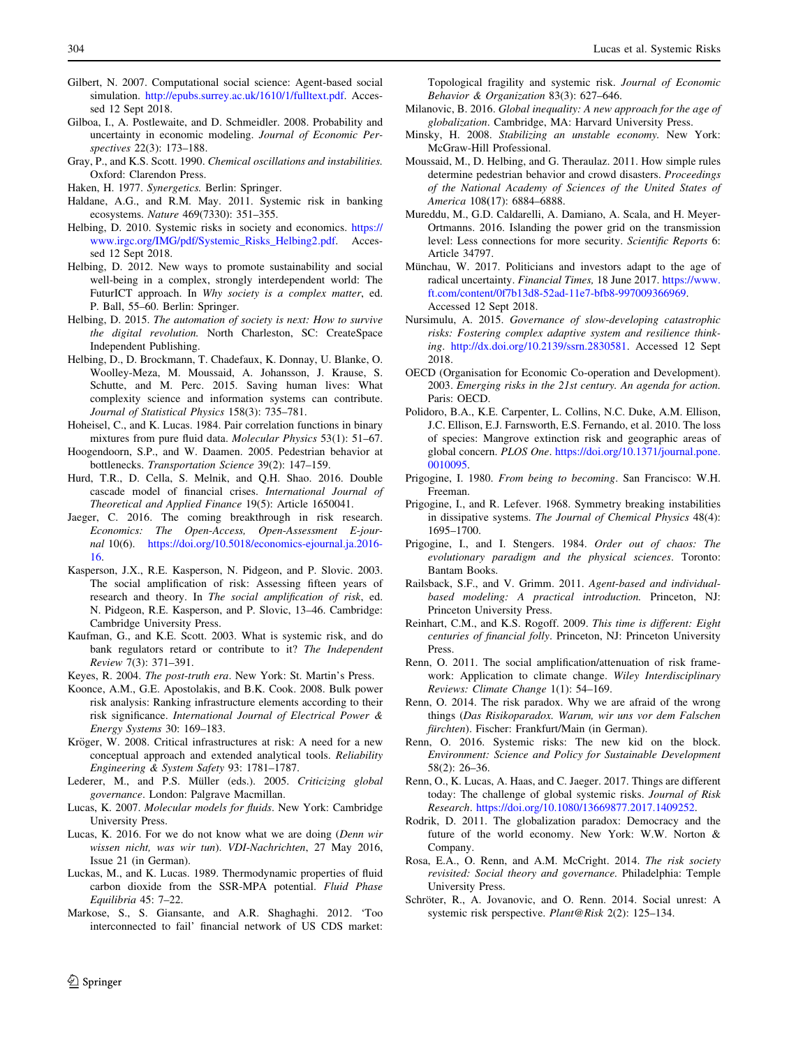- <span id="page-12-0"></span>Gilbert, N. 2007. Computational social science: Agent-based social simulation. [http://epubs.surrey.ac.uk/1610/1/fulltext.pdf.](http://epubs.surrey.ac.uk/1610/1/fulltext.pdf) Accessed 12 Sept 2018.
- Gilboa, I., A. Postlewaite, and D. Schmeidler. 2008. Probability and uncertainty in economic modeling. Journal of Economic Perspectives 22(3): 173–188.
- Gray, P., and K.S. Scott. 1990. Chemical oscillations and instabilities. Oxford: Clarendon Press.

Haken, H. 1977. Synergetics. Berlin: Springer.

- Haldane, A.G., and R.M. May. 2011. Systemic risk in banking ecosystems. Nature 469(7330): 351–355.
- Helbing, D. 2010. Systemic risks in society and economics. [https://](https://www.irgc.org/IMG/pdf/Systemic_Risks_Helbing2.pdf) [www.irgc.org/IMG/pdf/Systemic\\_Risks\\_Helbing2.pdf](https://www.irgc.org/IMG/pdf/Systemic_Risks_Helbing2.pdf). Accessed 12 Sept 2018.
- Helbing, D. 2012. New ways to promote sustainability and social well-being in a complex, strongly interdependent world: The FuturICT approach. In Why society is a complex matter, ed. P. Ball, 55–60. Berlin: Springer.
- Helbing, D. 2015. The automation of society is next: How to survive the digital revolution. North Charleston, SC: CreateSpace Independent Publishing.
- Helbing, D., D. Brockmann, T. Chadefaux, K. Donnay, U. Blanke, O. Woolley-Meza, M. Moussaid, A. Johansson, J. Krause, S. Schutte, and M. Perc. 2015. Saving human lives: What complexity science and information systems can contribute. Journal of Statistical Physics 158(3): 735–781.
- Hoheisel, C., and K. Lucas. 1984. Pair correlation functions in binary mixtures from pure fluid data. Molecular Physics 53(1): 51–67.
- Hoogendoorn, S.P., and W. Daamen. 2005. Pedestrian behavior at bottlenecks. Transportation Science 39(2): 147–159.
- Hurd, T.R., D. Cella, S. Melnik, and Q.H. Shao. 2016. Double cascade model of financial crises. International Journal of Theoretical and Applied Finance 19(5): Article 1650041.
- Jaeger, C. 2016. The coming breakthrough in risk research. Economics: The Open-Access, Open-Assessment E-journal 10(6). [https://doi.org/10.5018/economics-ejournal.ja.2016-](https://doi.org/10.5018/economics-ejournal.ja.2016-16) [16](https://doi.org/10.5018/economics-ejournal.ja.2016-16).
- Kasperson, J.X., R.E. Kasperson, N. Pidgeon, and P. Slovic. 2003. The social amplification of risk: Assessing fifteen years of research and theory. In The social amplification of risk, ed. N. Pidgeon, R.E. Kasperson, and P. Slovic, 13–46. Cambridge: Cambridge University Press.
- Kaufman, G., and K.E. Scott. 2003. What is systemic risk, and do bank regulators retard or contribute to it? The Independent Review 7(3): 371–391.
- Keyes, R. 2004. The post-truth era. New York: St. Martin's Press.
- Koonce, A.M., G.E. Apostolakis, and B.K. Cook. 2008. Bulk power risk analysis: Ranking infrastructure elements according to their risk significance. International Journal of Electrical Power & Energy Systems 30: 169–183.
- Kröger, W. 2008. Critical infrastructures at risk: A need for a new conceptual approach and extended analytical tools. Reliability Engineering & System Safety 93: 1781–1787.
- Lederer, M., and P.S. Müller (eds.). 2005. Criticizing global governance. London: Palgrave Macmillan.
- Lucas, K. 2007. Molecular models for fluids. New York: Cambridge University Press.
- Lucas, K. 2016. For we do not know what we are doing (Denn wir wissen nicht, was wir tun). VDI-Nachrichten, 27 May 2016, Issue 21 (in German).
- Luckas, M., and K. Lucas. 1989. Thermodynamic properties of fluid carbon dioxide from the SSR-MPA potential. Fluid Phase Equilibria 45: 7–22.
- Markose, S., S. Giansante, and A.R. Shaghaghi. 2012. 'Too interconnected to fail' financial network of US CDS market:

Topological fragility and systemic risk. Journal of Economic Behavior & Organization 83(3): 627–646.

- Milanovic, B. 2016. Global inequality: A new approach for the age of globalization. Cambridge, MA: Harvard University Press.
- Minsky, H. 2008. Stabilizing an unstable economy. New York: McGraw-Hill Professional.
- Moussaid, M., D. Helbing, and G. Theraulaz. 2011. How simple rules determine pedestrian behavior and crowd disasters. Proceedings of the National Academy of Sciences of the United States of America 108(17): 6884–6888.
- Mureddu, M., G.D. Caldarelli, A. Damiano, A. Scala, and H. Meyer-Ortmanns. 2016. Islanding the power grid on the transmission level: Less connections for more security. Scientific Reports 6: Article 34797.
- Münchau, W. 2017. Politicians and investors adapt to the age of radical uncertainty. Financial Times, 18 June 2017. [https://www.](https://www.ft.com/content/0f7b13d8-52ad-11e7-bfb8-997009366969) [ft.com/content/0f7b13d8-52ad-11e7-bfb8-997009366969](https://www.ft.com/content/0f7b13d8-52ad-11e7-bfb8-997009366969). Accessed 12 Sept 2018.
- Nursimulu, A. 2015. Governance of slow-developing catastrophic risks: Fostering complex adaptive system and resilience thinking. <http://dx.doi.org/10.2139/ssrn.2830581>. Accessed 12 Sept 2018.
- OECD (Organisation for Economic Co-operation and Development). 2003. Emerging risks in the 21st century. An agenda for action. Paris: OECD.
- Polidoro, B.A., K.E. Carpenter, L. Collins, N.C. Duke, A.M. Ellison, J.C. Ellison, E.J. Farnsworth, E.S. Fernando, et al. 2010. The loss of species: Mangrove extinction risk and geographic areas of global concern. PLOS One. [https://doi.org/10.1371/journal.pone.](https://doi.org/10.1371/journal.pone.0010095) [0010095.](https://doi.org/10.1371/journal.pone.0010095)
- Prigogine, I. 1980. From being to becoming. San Francisco: W.H. Freeman.
- Prigogine, I., and R. Lefever. 1968. Symmetry breaking instabilities in dissipative systems. The Journal of Chemical Physics 48(4): 1695–1700.
- Prigogine, I., and I. Stengers. 1984. Order out of chaos: The evolutionary paradigm and the physical sciences. Toronto: Bantam Books.
- Railsback, S.F., and V. Grimm. 2011. Agent-based and individualbased modeling: A practical introduction. Princeton, NJ: Princeton University Press.
- Reinhart, C.M., and K.S. Rogoff. 2009. This time is different: Eight centuries of financial folly. Princeton, NJ: Princeton University Press.
- Renn, O. 2011. The social amplification/attenuation of risk framework: Application to climate change. Wiley Interdisciplinary Reviews: Climate Change 1(1): 54–169.
- Renn, O. 2014. The risk paradox. Why we are afraid of the wrong things (Das Risikoparadox. Warum, wir uns vor dem Falschen fürchten). Fischer: Frankfurt/Main (in German).
- Renn, O. 2016. Systemic risks: The new kid on the block. Environment: Science and Policy for Sustainable Development 58(2): 26–36.
- Renn, O., K. Lucas, A. Haas, and C. Jaeger. 2017. Things are different today: The challenge of global systemic risks. Journal of Risk Research. [https://doi.org/10.1080/13669877.2017.1409252.](https://doi.org/10.1080/13669877.2017.1409252)
- Rodrik, D. 2011. The globalization paradox: Democracy and the future of the world economy. New York: W.W. Norton & Company.
- Rosa, E.A., O. Renn, and A.M. McCright. 2014. The risk society revisited: Social theory and governance. Philadelphia: Temple University Press.
- Schröter, R., A. Jovanovic, and O. Renn. 2014. Social unrest: A systemic risk perspective. Plant@Risk 2(2): 125–134.